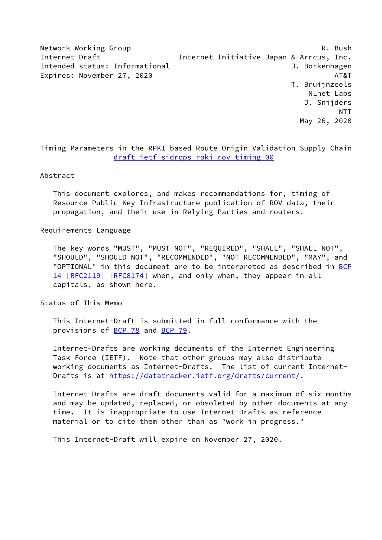Network Working Group **R. Bush** R. Bush Internet-Draft Internet Initiative Japan & Arrcus, Inc. Intended status: Informational J. Borkenhagen Expires: November 27, 2020 AT&T T. Bruijnzeels NLnet Labs J. Snijders NTT May 26, 2020

Timing Parameters in the RPKI based Route Origin Validation Supply Chain [draft-ietf-sidrops-rpki-rov-timing-00](https://datatracker.ietf.org/doc/pdf/draft-ietf-sidrops-rpki-rov-timing-00)

#### Abstract

 This document explores, and makes recommendations for, timing of Resource Public Key Infrastructure publication of ROV data, their propagation, and their use in Relying Parties and routers.

#### Requirements Language

 The key words "MUST", "MUST NOT", "REQUIRED", "SHALL", "SHALL NOT", "SHOULD", "SHOULD NOT", "RECOMMENDED", "NOT RECOMMENDED", "MAY", and "OPTIONAL" in this document are to be interpreted as described in [BCP](https://datatracker.ietf.org/doc/pdf/bcp14) [14](https://datatracker.ietf.org/doc/pdf/bcp14) [[RFC2119\]](https://datatracker.ietf.org/doc/pdf/rfc2119) [\[RFC8174](https://datatracker.ietf.org/doc/pdf/rfc8174)] when, and only when, they appear in all capitals, as shown here.

Status of This Memo

 This Internet-Draft is submitted in full conformance with the provisions of [BCP 78](https://datatracker.ietf.org/doc/pdf/bcp78) and [BCP 79](https://datatracker.ietf.org/doc/pdf/bcp79).

 Internet-Drafts are working documents of the Internet Engineering Task Force (IETF). Note that other groups may also distribute working documents as Internet-Drafts. The list of current Internet- Drafts is at<https://datatracker.ietf.org/drafts/current/>.

 Internet-Drafts are draft documents valid for a maximum of six months and may be updated, replaced, or obsoleted by other documents at any time. It is inappropriate to use Internet-Drafts as reference material or to cite them other than as "work in progress."

This Internet-Draft will expire on November 27, 2020.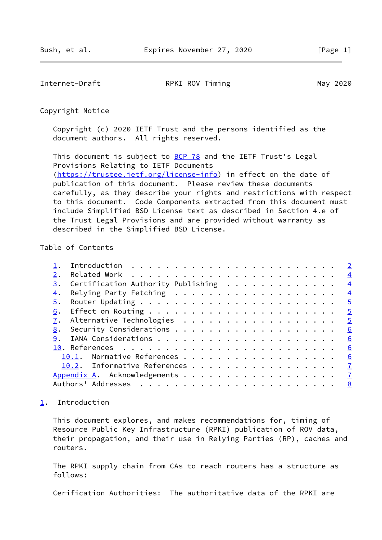<span id="page-1-1"></span>Internet-Draft **RPKI ROV Timing** May 2020

Copyright Notice

 Copyright (c) 2020 IETF Trust and the persons identified as the document authors. All rights reserved.

This document is subject to **[BCP 78](https://datatracker.ietf.org/doc/pdf/bcp78)** and the IETF Trust's Legal Provisions Relating to IETF Documents [\(https://trustee.ietf.org/license-info](https://trustee.ietf.org/license-info)) in effect on the date of publication of this document. Please review these documents carefully, as they describe your rights and restrictions with respect to this document. Code Components extracted from this document must include Simplified BSD License text as described in Section 4.e of the Trust Legal Provisions and are provided without warranty as described in the Simplified BSD License.

## Table of Contents

|    |                                                              |  |  |  |  |  |  |  |  |  | $\overline{\phantom{0}}^2$ |
|----|--------------------------------------------------------------|--|--|--|--|--|--|--|--|--|----------------------------|
| 2. |                                                              |  |  |  |  |  |  |  |  |  | $\overline{4}$             |
| 3. | Certification Authority Publishing $\dots \dots \dots \dots$ |  |  |  |  |  |  |  |  |  | $\frac{4}{1}$              |
| 4. |                                                              |  |  |  |  |  |  |  |  |  | $\frac{4}{1}$              |
| 5. |                                                              |  |  |  |  |  |  |  |  |  | $\overline{5}$             |
| 6. |                                                              |  |  |  |  |  |  |  |  |  | $\overline{\phantom{0}}$   |
| 7. |                                                              |  |  |  |  |  |  |  |  |  | $\overline{\phantom{0}}$   |
| 8. |                                                              |  |  |  |  |  |  |  |  |  | 6                          |
|    |                                                              |  |  |  |  |  |  |  |  |  | 6                          |
|    |                                                              |  |  |  |  |  |  |  |  |  | 6                          |
|    | 10.1. Normative References                                   |  |  |  |  |  |  |  |  |  | 6                          |
|    | 10.2. Informative References                                 |  |  |  |  |  |  |  |  |  | $\mathbf{Z}$               |
|    |                                                              |  |  |  |  |  |  |  |  |  |                            |
|    |                                                              |  |  |  |  |  |  |  |  |  | <u>8</u>                   |
|    |                                                              |  |  |  |  |  |  |  |  |  |                            |

## <span id="page-1-0"></span>[1](#page-1-0). Introduction

 This document explores, and makes recommendations for, timing of Resource Public Key Infrastructure (RPKI) publication of ROV data, their propagation, and their use in Relying Parties (RP), caches and routers.

 The RPKI supply chain from CAs to reach routers has a structure as follows:

Cerification Authorities: The authoritative data of the RPKI are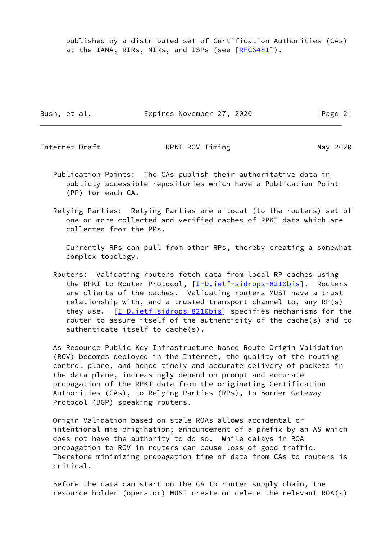published by a distributed set of Certification Authorities (CAs) at the IANA, RIRs, NIRs, and ISPs (see [[RFC6481](https://datatracker.ietf.org/doc/pdf/rfc6481)]).

Bush, et al. **Expires November 27, 2020** [Page 2]

Internet-Draft **RPKI ROV Timing** May 2020

- Publication Points: The CAs publish their authoritative data in publicly accessible repositories which have a Publication Point (PP) for each CA.
- Relying Parties: Relying Parties are a local (to the routers) set of one or more collected and verified caches of RPKI data which are collected from the PPs.

 Currently RPs can pull from other RPs, thereby creating a somewhat complex topology.

 Routers: Validating routers fetch data from local RP caches using the RPKI to Router Protocol, [\[I-D.ietf-sidrops-8210bis](#page-6-4)]. Routers are clients of the caches. Validating routers MUST have a trust relationship with, and a trusted transport channel to, any RP(s) they use. [[I-D.ietf-sidrops-8210bis\]](#page-6-4) specifies mechanisms for the router to assure itself of the authenticity of the cache(s) and to authenticate itself to cache(s).

 As Resource Public Key Infrastructure based Route Origin Validation (ROV) becomes deployed in the Internet, the quality of the routing control plane, and hence timely and accurate delivery of packets in the data plane, increasingly depend on prompt and accurate propagation of the RPKI data from the originating Certification Authorities (CAs), to Relying Parties (RPs), to Border Gateway Protocol (BGP) speaking routers.

 Origin Validation based on stale ROAs allows accidental or intentional mis-origination; announcement of a prefix by an AS which does not have the authority to do so. While delays in ROA propagation to ROV in routers can cause loss of good traffic. Therefore minimizing propagation time of data from CAs to routers is critical.

 Before the data can start on the CA to router supply chain, the resource holder (operator) MUST create or delete the relevant ROA(s)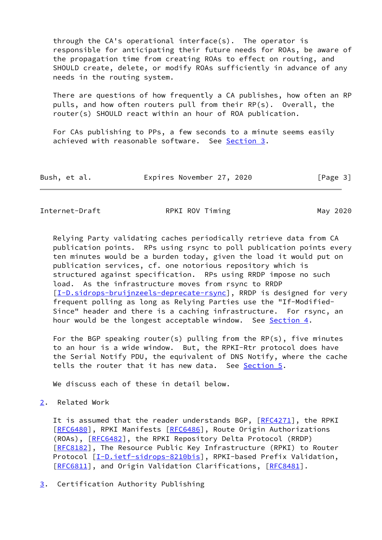through the CA's operational interface(s). The operator is responsible for anticipating their future needs for ROAs, be aware of the propagation time from creating ROAs to effect on routing, and SHOULD create, delete, or modify ROAs sufficiently in advance of any needs in the routing system.

 There are questions of how frequently a CA publishes, how often an RP pulls, and how often routers pull from their RP(s). Overall, the router(s) SHOULD react within an hour of ROA publication.

 For CAs publishing to PPs, a few seconds to a minute seems easily achieved with reasonable software. See [Section 3](#page-3-2).

| Bush, et al. | Expires November 27, 2020 | [Page 3] |
|--------------|---------------------------|----------|
|--------------|---------------------------|----------|

<span id="page-3-1"></span>Internet-Draft **RPKI ROV Timing** May 2020

 Relying Party validating caches periodically retrieve data from CA publication points. RPs using rsync to poll publication points every ten minutes would be a burden today, given the load it would put on publication services, cf. one notorious repository which is structured against specification. RPs using RRDP impose no such load. As the infrastructure moves from rsync to RRDP [\[I-D.sidrops-bruijnzeels-deprecate-rsync](#page-7-3)], RRDP is designed for very frequent polling as long as Relying Parties use the "If-Modified- Since" header and there is a caching infrastructure. For rsync, an hour would be the longest acceptable window. See [Section 4.](#page-4-0)

 For the BGP speaking router(s) pulling from the RP(s), five minutes to an hour is a wide window. But, the RPKI-Rtr protocol does have the Serial Notify PDU, the equivalent of DNS Notify, where the cache tells the router that it has new data. See [Section 5.](#page-4-1)

We discuss each of these in detail below.

# <span id="page-3-0"></span>[2](#page-3-0). Related Work

It is assumed that the reader understands BGP, [\[RFC4271](https://datatracker.ietf.org/doc/pdf/rfc4271)], the RPKI [\[RFC6480](https://datatracker.ietf.org/doc/pdf/rfc6480)], RPKI Manifests [[RFC6486](https://datatracker.ietf.org/doc/pdf/rfc6486)], Route Origin Authorizations (ROAs), [\[RFC6482](https://datatracker.ietf.org/doc/pdf/rfc6482)], the RPKI Repository Delta Protocol (RRDP) [\[RFC8182](https://datatracker.ietf.org/doc/pdf/rfc8182)], The Resource Public Key Infrastructure (RPKI) to Router Protocol [\[I-D.ietf-sidrops-8210bis](#page-6-4)], RPKI-based Prefix Validation, [\[RFC6811](https://datatracker.ietf.org/doc/pdf/rfc6811)], and Origin Validation Clarifications, [\[RFC8481](https://datatracker.ietf.org/doc/pdf/rfc8481)].

<span id="page-3-2"></span>[3](#page-3-2). Certification Authority Publishing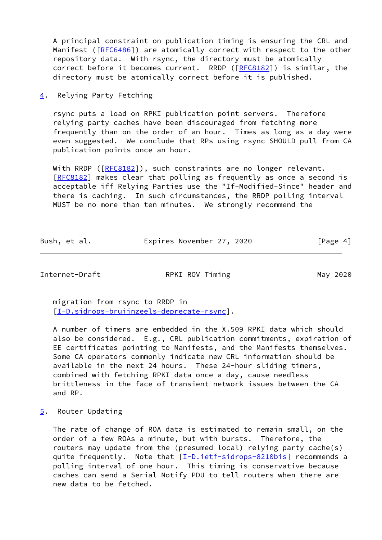A principal constraint on publication timing is ensuring the CRL and Manifest ([[RFC6486](https://datatracker.ietf.org/doc/pdf/rfc6486)]) are atomically correct with respect to the other repository data. With rsync, the directory must be atomically correct before it becomes current. RRDP ([[RFC8182](https://datatracker.ietf.org/doc/pdf/rfc8182)]) is similar, the directory must be atomically correct before it is published.

<span id="page-4-0"></span>[4](#page-4-0). Relying Party Fetching

 rsync puts a load on RPKI publication point servers. Therefore relying party caches have been discouraged from fetching more frequently than on the order of an hour. Times as long as a day were even suggested. We conclude that RPs using rsync SHOULD pull from CA publication points once an hour.

With RRDP ([[RFC8182\]](https://datatracker.ietf.org/doc/pdf/rfc8182)), such constraints are no longer relevant. [\[RFC8182](https://datatracker.ietf.org/doc/pdf/rfc8182)] makes clear that polling as frequently as once a second is acceptable iff Relying Parties use the "If-Modified-Since" header and there is caching. In such circumstances, the RRDP polling interval MUST be no more than ten minutes. We strongly recommend the

| Bush, et al. | Expires November 27, 2020 | [Page 4] |
|--------------|---------------------------|----------|
|              |                           |          |

<span id="page-4-2"></span>

Internet-Draft **RPKI ROV Timing** May 2020

 migration from rsync to RRDP in [\[I-D.sidrops-bruijnzeels-deprecate-rsync](#page-7-3)].

 A number of timers are embedded in the X.509 RPKI data which should also be considered. E.g., CRL publication commitments, expiration of EE certificates pointing to Manifests, and the Manifests themselves. Some CA operators commonly indicate new CRL information should be available in the next 24 hours. These 24-hour sliding timers, combined with fetching RPKI data once a day, cause needless brittleness in the face of transient network issues between the CA and RP.

<span id="page-4-1"></span>[5](#page-4-1). Router Updating

 The rate of change of ROA data is estimated to remain small, on the order of a few ROAs a minute, but with bursts. Therefore, the routers may update from the (presumed local) relying party cache(s) quite frequently. Note that [\[I-D.ietf-sidrops-8210bis](#page-6-4)] recommends a polling interval of one hour. This timing is conservative because caches can send a Serial Notify PDU to tell routers when there are new data to be fetched.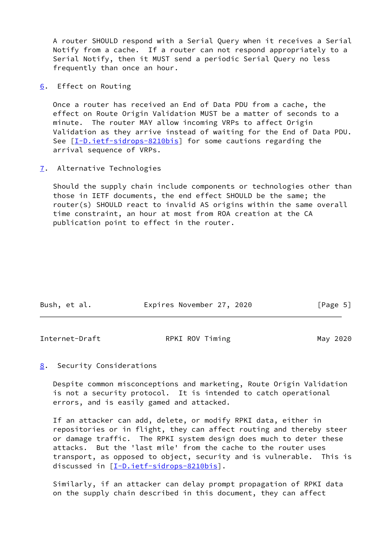A router SHOULD respond with a Serial Query when it receives a Serial Notify from a cache. If a router can not respond appropriately to a Serial Notify, then it MUST send a periodic Serial Query no less frequently than once an hour.

<span id="page-5-0"></span>[6](#page-5-0). Effect on Routing

 Once a router has received an End of Data PDU from a cache, the effect on Route Origin Validation MUST be a matter of seconds to a minute. The router MAY allow incoming VRPs to affect Origin Validation as they arrive instead of waiting for the End of Data PDU. See  $[I-D.iett-sidrops-8210bis]$  for some cautions regarding the arrival sequence of VRPs.

<span id="page-5-1"></span>[7](#page-5-1). Alternative Technologies

 Should the supply chain include components or technologies other than those in IETF documents, the end effect SHOULD be the same; the router(s) SHOULD react to invalid AS origins within the same overall time constraint, an hour at most from ROA creation at the CA publication point to effect in the router.

| Expires November 27, 2020<br>Bush, et al.<br>[Page 5] |  |  |  |  |  |  |  |
|-------------------------------------------------------|--|--|--|--|--|--|--|
|-------------------------------------------------------|--|--|--|--|--|--|--|

<span id="page-5-3"></span>

| Internet-Draft | RPKI ROV Timing | May 2020 |
|----------------|-----------------|----------|
|                |                 |          |

### <span id="page-5-2"></span>[8](#page-5-2). Security Considerations

 Despite common misconceptions and marketing, Route Origin Validation is not a security protocol. It is intended to catch operational errors, and is easily gamed and attacked.

 If an attacker can add, delete, or modify RPKI data, either in repositories or in flight, they can affect routing and thereby steer or damage traffic. The RPKI system design does much to deter these attacks. But the 'last mile' from the cache to the router uses transport, as opposed to object, security and is vulnerable. This is discussed in [\[I-D.ietf-sidrops-8210bis](#page-6-4)].

 Similarly, if an attacker can delay prompt propagation of RPKI data on the supply chain described in this document, they can affect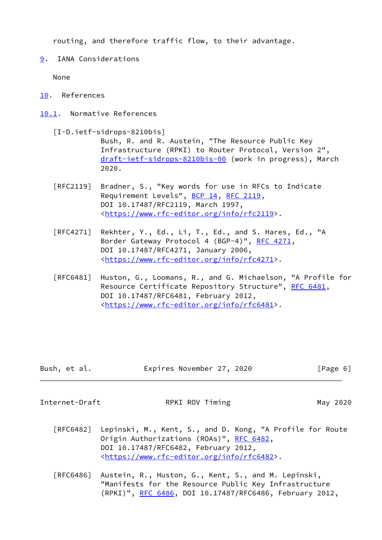routing, and therefore traffic flow, to their advantage.

<span id="page-6-0"></span>[9](#page-6-0). IANA Considerations

None

- <span id="page-6-1"></span>[10.](#page-6-1) References
- <span id="page-6-4"></span><span id="page-6-2"></span>[10.1](#page-6-2). Normative References
	- [I-D.ietf-sidrops-8210bis] Bush, R. and R. Austein, "The Resource Public Key Infrastructure (RPKI) to Router Protocol, Version 2", [draft-ietf-sidrops-8210bis-00](https://datatracker.ietf.org/doc/pdf/draft-ietf-sidrops-8210bis-00) (work in progress), March 2020.
	- [RFC2119] Bradner, S., "Key words for use in RFCs to Indicate Requirement Levels", [BCP 14](https://datatracker.ietf.org/doc/pdf/bcp14), [RFC 2119](https://datatracker.ietf.org/doc/pdf/rfc2119), DOI 10.17487/RFC2119, March 1997, <[https://www.rfc-editor.org/info/rfc2119>](https://www.rfc-editor.org/info/rfc2119).
	- [RFC4271] Rekhter, Y., Ed., Li, T., Ed., and S. Hares, Ed., "A Border Gateway Protocol 4 (BGP-4)", [RFC 4271,](https://datatracker.ietf.org/doc/pdf/rfc4271) DOI 10.17487/RFC4271, January 2006, <[https://www.rfc-editor.org/info/rfc4271>](https://www.rfc-editor.org/info/rfc4271).
	- [RFC6481] Huston, G., Loomans, R., and G. Michaelson, "A Profile for Resource Certificate Repository Structure", [RFC 6481,](https://datatracker.ietf.org/doc/pdf/rfc6481) DOI 10.17487/RFC6481, February 2012, <[https://www.rfc-editor.org/info/rfc6481>](https://www.rfc-editor.org/info/rfc6481).

| Bush, et al. | Expires November 27, 2020 | [Page 6] |
|--------------|---------------------------|----------|
|--------------|---------------------------|----------|

<span id="page-6-3"></span>

Internet-Draft **RPKI ROV Timing May 2020** 

- [RFC6482] Lepinski, M., Kent, S., and D. Kong, "A Profile for Route Origin Authorizations (ROAs)", [RFC 6482](https://datatracker.ietf.org/doc/pdf/rfc6482), DOI 10.17487/RFC6482, February 2012, <[https://www.rfc-editor.org/info/rfc6482>](https://www.rfc-editor.org/info/rfc6482).
- [RFC6486] Austein, R., Huston, G., Kent, S., and M. Lepinski, "Manifests for the Resource Public Key Infrastructure (RPKI)", [RFC 6486,](https://datatracker.ietf.org/doc/pdf/rfc6486) DOI 10.17487/RFC6486, February 2012,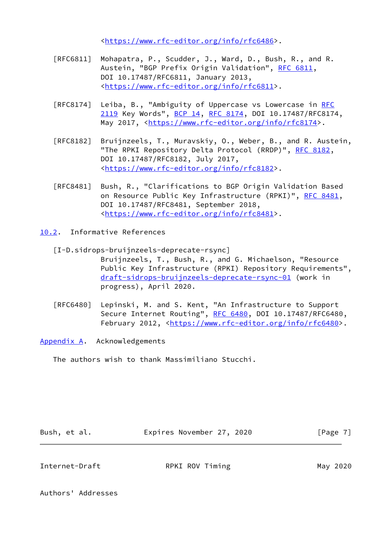<[https://www.rfc-editor.org/info/rfc6486>](https://www.rfc-editor.org/info/rfc6486).

- [RFC6811] Mohapatra, P., Scudder, J., Ward, D., Bush, R., and R. Austein, "BGP Prefix Origin Validation", [RFC 6811,](https://datatracker.ietf.org/doc/pdf/rfc6811) DOI 10.17487/RFC6811, January 2013, <[https://www.rfc-editor.org/info/rfc6811>](https://www.rfc-editor.org/info/rfc6811).
- [RFC8174] Leiba, B., "Ambiguity of Uppercase vs Lowercase in [RFC](https://datatracker.ietf.org/doc/pdf/rfc2119) [2119](https://datatracker.ietf.org/doc/pdf/rfc2119) Key Words", [BCP 14](https://datatracker.ietf.org/doc/pdf/bcp14), [RFC 8174,](https://datatracker.ietf.org/doc/pdf/rfc8174) DOI 10.17487/RFC8174, May 2017, [<https://www.rfc-editor.org/info/rfc8174](https://www.rfc-editor.org/info/rfc8174)>.
- [RFC8182] Bruijnzeels, T., Muravskiy, O., Weber, B., and R. Austein, "The RPKI Repository Delta Protocol (RRDP)", [RFC 8182](https://datatracker.ietf.org/doc/pdf/rfc8182), DOI 10.17487/RFC8182, July 2017, <[https://www.rfc-editor.org/info/rfc8182>](https://www.rfc-editor.org/info/rfc8182).
- [RFC8481] Bush, R., "Clarifications to BGP Origin Validation Based on Resource Public Key Infrastructure (RPKI)", [RFC 8481](https://datatracker.ietf.org/doc/pdf/rfc8481), DOI 10.17487/RFC8481, September 2018, <[https://www.rfc-editor.org/info/rfc8481>](https://www.rfc-editor.org/info/rfc8481).
- <span id="page-7-3"></span><span id="page-7-0"></span>[10.2](#page-7-0). Informative References
	- [I-D.sidrops-bruijnzeels-deprecate-rsync] Bruijnzeels, T., Bush, R., and G. Michaelson, "Resource Public Key Infrastructure (RPKI) Repository Requirements", [draft-sidrops-bruijnzeels-deprecate-rsync-01](https://datatracker.ietf.org/doc/pdf/draft-sidrops-bruijnzeels-deprecate-rsync-01) (work in progress), April 2020.
	- [RFC6480] Lepinski, M. and S. Kent, "An Infrastructure to Support Secure Internet Routing", [RFC 6480](https://datatracker.ietf.org/doc/pdf/rfc6480), DOI 10.17487/RFC6480, February 2012, <<https://www.rfc-editor.org/info/rfc6480>>.

<span id="page-7-1"></span>[Appendix A.](#page-7-1) Acknowledgements

The authors wish to thank Massimiliano Stucchi.

| Bush, et al. | Expires November 27, 2020 | [Page 7] |  |
|--------------|---------------------------|----------|--|
|              |                           |          |  |

<span id="page-7-2"></span>Internet-Draft **RPKI ROV Timing May 2020** 

Authors' Addresses